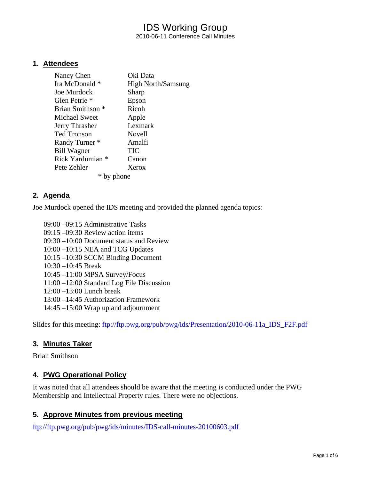## IDS Working Group 2010-06-11 Conference Call Minutes

#### **1. Attendees**

| Nancy Chen               | Oki Data                  |
|--------------------------|---------------------------|
| Ira McDonald *           | <b>High North/Samsung</b> |
| Joe Murdock              | Sharp                     |
| Glen Petrie <sup>*</sup> | Epson                     |
| Brian Smithson *         | Ricoh                     |
| Michael Sweet            | Apple                     |
| Jerry Thrasher           | Lexmark                   |
| <b>Ted Tronson</b>       | Novell                    |
| Randy Turner *           | Amalfi                    |
| <b>Bill Wagner</b>       | <b>TIC</b>                |
| Rick Yardumian *         | Canon                     |
| Pete Zehler              | Xerox                     |
|                          | ione                      |

#### **2. Agenda**

Joe Murdock opened the IDS meeting and provided the planned agenda topics:

09:00 –09:15 Administrative Tasks 09:15 –09:30 Review action items 09:30 –10:00 Document status and Review

- 10:00 –10:15 NEA and TCG Updates
- 10:15 –10:30 SCCM Binding Document
- 10:30 –10:45 Break
- 10:45 –11:00 MPSA Survey/Focus
- 11:00 –12:00 Standard Log File Discussion
- 12:00 –13:00 Lunch break
- 13:00 –14:45 Authorization Framework
- 14:45 –15:00 Wrap up and adjournment

Slides for this meeting: [ftp://ftp.pwg.org/pub/pwg/ids/Presentation/2010-06-11a\\_IDS\\_F2F.pdf](ftp://ftp.pwg.org/pub/pwg/ids/Presentation/2010-06-11a_IDS_F2F.pdf)

#### **3. Minutes Taker**

Brian Smithson

#### **4. PWG Operational Policy**

It was noted that all attendees should be aware that the meeting is conducted under the PWG Membership and Intellectual Property rules. There were no objections.

#### **5. Approve Minutes from previous meeting**

<ftp://ftp.pwg.org/pub/pwg/ids/minutes/IDS-call-minutes-20100603.pdf>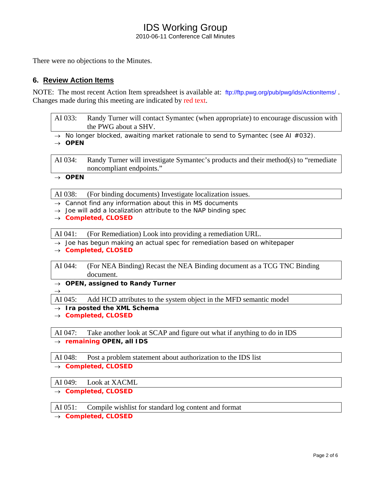#### IDS Working Group 2010-06-11 Conference Call Minutes

There were no objections to the Minutes.

#### **6. Review Action Items**

NOTE: The most recent Action Item spreadsheet is available at: <ftp://ftp.pwg.org/pub/pwg/ids/ActionItems/>. Changes made during this meeting are indicated by red text.

| AI 033: | Randy Turner will contact Symantec (when appropriate) to encourage discussion with<br>the PWG about a SHV. |
|---------|------------------------------------------------------------------------------------------------------------|
|         |                                                                                                            |

→ *No longer blocked, awaiting market rationale to send to Symantec (see AI #032).*

→ *OPEN* 

AI 034: Randy Turner will investigate Symantec's products and their method(s) to "remediate noncompliant endpoints."

→ *OPEN* 

 $\rightarrow$ 

AI 038: (For binding documents) Investigate localization issues.

- → *Cannot find any information about this in MS documents*
- → *Joe will add a localization attribute to the NAP binding spec*
- → *Completed, CLOSED*

AI 041: (For Remediation) Look into providing a remediation URL.

→ *Joe has begun making an actual spec for remediation based on whitepaper* 

→ *Completed, CLOSED* 

AI 044: (For NEA Binding) Recast the NEA Binding document as a TCG TNC Binding document.

→ *OPEN, assigned to Randy Turner*

AI 045: Add HCD attributes to the system object in the MFD semantic model

→ *Ira posted the XML Schema* 

→ *Completed, CLOSED* 

AI 047: Take another look at SCAP and figure out what if anything to do in IDS → *remaining OPEN, all IDS* 

AI 048: Post a problem statement about authorization to the IDS list

→ *Completed, CLOSED* 

AI 049: Look at XACML

→ *Completed, CLOSED* 

AI 051: Compile wishlist for standard log content and format

→ *Completed, CLOSED*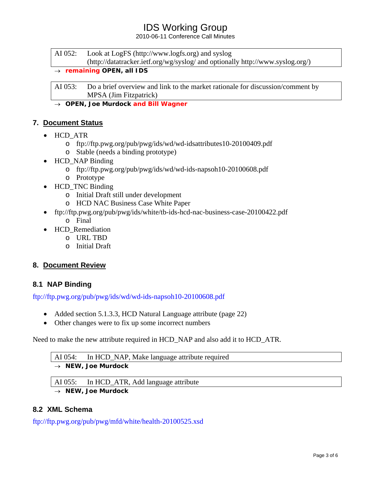## IDS Working Group

2010-06-11 Conference Call Minutes

AI 052: Look at LogFS (http://www.logfs.org) and syslog (http://datatracker.ietf.org/wg/syslog/ and optionally http://www.syslog.org/)

#### → *remaining OPEN, all IDS*

AI 053: Do a brief overview and link to the market rationale for discussion/comment by MPSA (Jim Fitzpatrick)

→ *OPEN, Joe Murdock and Bill Wagner*

### **7. Document Status**

- HCD ATR
	- o ftp://ftp.pwg.org/pub/pwg/ids/wd/wd-idsattributes10-20100409.pdf
	- o Stable (needs a binding prototype)
- HCD NAP Binding
	- o ftp://ftp.pwg.org/pub/pwg/ids/wd/wd-ids-napsoh10-20100608.pdf
	- o Prototype
- HCD\_TNC Binding
	- o Initial Draft still under development
	- o HCD NAC Business Case White Paper
- ftp://ftp.pwg.org/pub/pwg/ids/white/tb-ids-hcd-nac-business-case-20100422.pdf o Final
- HCD\_Remediation
	- o URL TBD
	- o Initial Draft

#### **8. Document Review**

#### **8.1 NAP Binding**

<ftp://ftp.pwg.org/pub/pwg/ids/wd/wd-ids-napsoh10-20100608.pdf>

- Added section 5.1.3.3, HCD Natural Language attribute (page 22)
- Other changes were to fix up some incorrect numbers

Need to make the new attribute required in HCD\_NAP and also add it to HCD\_ATR.

# AI 054: In HCD\_NAP, Make language attribute required

### → *NEW, Joe Murdock*

AI 055: In HCD\_ATR, Add language attribute

→ *NEW, Joe Murdock* 

## **8.2 XML Schema**

<ftp://ftp.pwg.org/pub/pwg/mfd/white/health-20100525.xsd>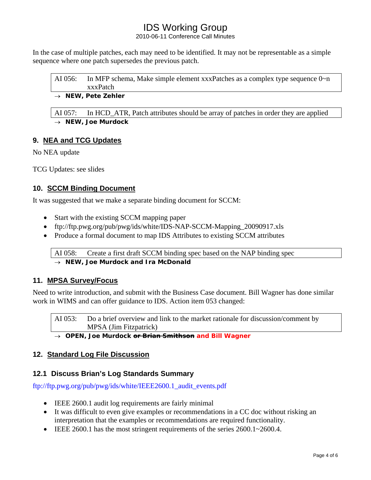# IDS Working Group

2010-06-11 Conference Call Minutes

In the case of multiple patches, each may need to be identified. It may not be representable as a simple sequence where one patch supersedes the previous patch.

| AI 056: | In MFP schema, Make simple element $xxx$ Patches as a complex type sequence $0\nu$ n<br>xxxPatch |
|---------|--------------------------------------------------------------------------------------------------|
|         | $\rightarrow$ NEW, Pete Zehler                                                                   |

AI 057: In HCD\_ATR, Patch attributes should be array of patches in order they are applied → *NEW, Joe Murdock* 

## **9. NEA and TCG Updates**

No NEA update

TCG Updates: see slides

### **10. SCCM Binding Document**

It was suggested that we make a separate binding document for SCCM:

- Start with the existing SCCM mapping paper
- ftp://ftp.pwg.org/pub/pwg/ids/white/IDS-NAP-SCCM-Mapping\_20090917.xls
- Produce a formal document to map IDS Attributes to existing SCCM attributes

AI 058: Create a first draft SCCM binding spec based on the NAP binding spec

→ *NEW, Joe Murdock and Ira McDonald* 

#### **11. MPSA Survey/Focus**

Need to write introduction, and submit with the Business Case document. Bill Wagner has done similar work in WIMS and can offer guidance to IDS. Action item 053 changed:

AI 053: Do a brief overview and link to the market rationale for discussion/comment by MPSA (Jim Fitzpatrick)

→ *OPEN, Joe Murdock or Brian Smithson and Bill Wagner*

#### **12. Standard Log File Discussion**

#### **12.1 Discuss Brian's Log Standards Summary**

[ftp://ftp.pwg.org/pub/pwg/ids/white/IEEE2600.1\\_audit\\_events.pdf](ftp://ftp.pwg.org/pub/pwg/ids/white/IEEE2600.1_audit_events.pdf)

- IEEE 2600.1 audit log requirements are fairly minimal
- It was difficult to even give examples or recommendations in a CC doc without risking an interpretation that the examples or recommendations are required functionality.
- IEEE 2600.1 has the most stringent requirements of the series 2600.1~2600.4.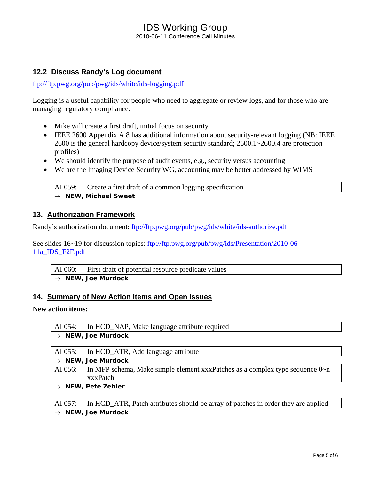#### IDS Working Group 2010-06-11 Conference Call Minutes

### **12.2 Discuss Randy's Log document**

<ftp://ftp.pwg.org/pub/pwg/ids/white/ids-logging.pdf>

Logging is a useful capability for people who need to aggregate or review logs, and for those who are managing regulatory compliance.

- Mike will create a first draft, initial focus on security
- IEEE 2600 Appendix A.8 has additional information about security-relevant logging (NB: IEEE 2600 is the general hardcopy device/system security standard; 2600.1~2600.4 are protection profiles)
- We should identify the purpose of audit events, e.g., security versus accounting
- We are the Imaging Device Security WG, accounting may be better addressed by WIMS

AI 059: Create a first draft of a common logging specification → *NEW, Michael Sweet* 

#### **13. Authorization Framework**

Randy's authorization document:<ftp://ftp.pwg.org/pub/pwg/ids/white/ids-authorize.pdf>

See slides 16~19 for discussion topics: [ftp://ftp.pwg.org/pub/pwg/ids/Presentation/2010-06-](ftp://ftp.pwg.org/pub/pwg/ids/Presentation/2010-06-11a_IDS_F2F.pdf) [11a\\_IDS\\_F2F.pdf](ftp://ftp.pwg.org/pub/pwg/ids/Presentation/2010-06-11a_IDS_F2F.pdf)

AI 060: First draft of potential resource predicate values

## → *NEW, Joe Murdock*

#### **14. Summary of New Action Items and Open Issues**

#### **New action items:**

AI 054: In HCD\_NAP, Make language attribute required → *NEW, Joe Murdock* 

| AI 055: In HCD_ATR, Add language attribute                                                |
|-------------------------------------------------------------------------------------------|
| $\rightarrow$ NEW, Joe Murdock                                                            |
| AI 056: In MFP schema, Make simple element xxxPatches as a complex type sequence $0\nu$ n |
| xxxPatch                                                                                  |
| NEW, Pete Zehler                                                                          |

AI 057: In HCD\_ATR, Patch attributes should be array of patches in order they are applied → *NEW, Joe Murdock*